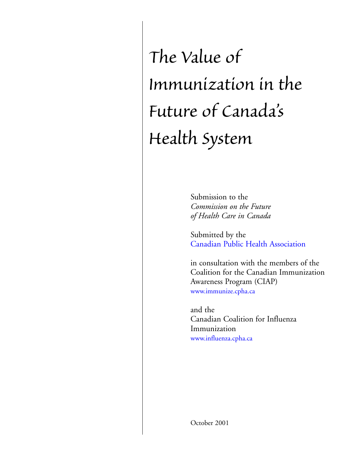*The Value of Immunization in the Future of Canada's Health System*

> Submission to the *Commission on the Future of Health Care in Canada*

Submitted by the [Canadian Public Health Association](http://www.cpha.ca/)

in consultation with the members of the Coalition for the Canadian Immunization Awareness Program (CIAP) [www.immunize.cpha.ca](http://www.immunize.cpha.ca/)

and the Canadian Coalition for Influenza Immunization [www.influenza.cpha.ca](http://www.influenza.cpha.ca/)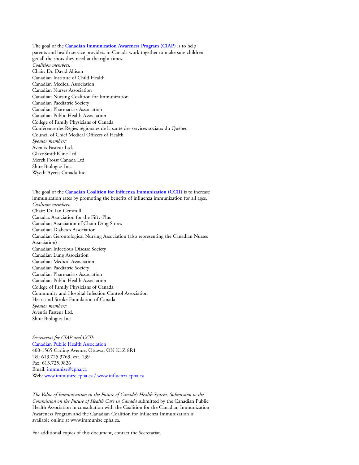The goal of the **[Canadian Immunization Awareness Program](http://www.immunize.cpha.ca/) (CIAP)** is to help parents and health service providers in Canada work together to make sure children get all the shots they need at the right times. *Coalition members:* Chair: Dr. David Allison Canadian Institute of Child Health Canadian Medical Association Canadian Nurses Association Canadian Nursing Coalition for Immunization Canadian Paediatric Society Canadian Pharmacists Association Canadian Public Health Association College of Family Physicians of Canada Conférence des Régies régionales de la santé des services sociaux du Québec Council of Chief Medical Officers of Health *Sponsor members:* Aventis Pasteur Ltd. GlaxoSmithKline Ltd. Merck Frosst Canada Ltd Shire Biologics Inc. Wyeth-Ayerst Canada Inc.

The goal of the **[Canadian Coalition for Influenza Immunization \(CCII\)](http://www.influenza.cpha.ca/)** is to increase immunization rates by promoting the benefits of influenza immunization for all ages. *Coalition members:* Chair: Dr. Ian Gemmill Canada's Association for the Fifty-Plus Canadian Association of Chain Drug Stores Canadian Diabetes Association Canadian Gerontological Nursing Association (also representing the Canadian Nurses Association) Canadian Infectious Disease Society Canadian Lung Association Canadian Medical Association Canadian Paediatric Society Canadian Pharmacists Association Canadian Public Health Association College of Family Physicians of Canada Community and Hospital Infection Control Association Heart and Stroke Foundation of Canada *Sponsor members:* Aventis Pasteur Ltd. Shire Biologics Inc.

*Secretariat for CIAP and CCII:* Canadian Public Health Association 400-1565 Carling Avenue, Ottawa, ON K1Z 8R1 Tel: 613.725.3769, ext. 139 Fax: 613.725.9826 Email: [immunize@cpha.ca](mailto:immunize@cpha.ca) Web: [www.immunize.cpha.ca](http://www.immunize.cpha.ca/) / [www.influenza.cpha.ca](http://www.influenza.cpha.ca/)

*The Value of Immunization in the Future of Canada's Health System, Submission to the Commission on the Future of Health Care in Canada* submitted by the Canadian Public Health Association in consultation with the Coalition for the Canadian Immunization Awareness Program and the Canadian Coalition for Influenza Immunization is available online at www.immunize.cpha.ca.

For additional copies of this document, contact the Secretariat.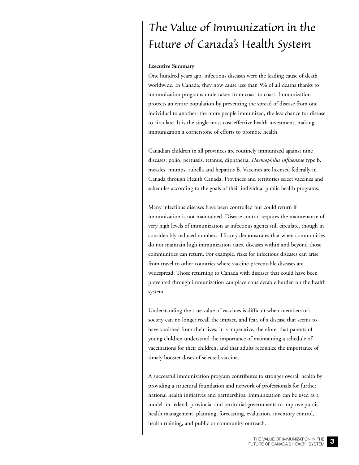# *The Value of Immunization in the Future of Canada's Health System*

#### **Executive Summary**

One hundred years ago, infectious diseases were the leading cause of death worldwide. In Canada, they now cause less than 5% of all deaths thanks to immunization programs undertaken from coast to coast. Immunization protects an entire population by preventing the spread of disease from one individual to another: the more people immunized, the less chance for disease to circulate. It is the single most cost-effective health investment, making immunization a cornerstone of efforts to promote health.

Canadian children in all provinces are routinely immunized against nine diseases: polio, pertussis, tetanus, diphtheria, *Haemophilus influenzae* type b, measles, mumps, rubella and hepatitis B. Vaccines are licensed federally in Canada through Health Canada. Provinces and territories select vaccines and schedules according to the goals of their individual public health programs.

Many infectious diseases have been controlled but could return if immunization is not maintained. Disease control requires the maintenance of very high levels of immunization as infectious agents still circulate, though in considerably reduced numbers. History demonstrates that when communities do not maintain high immunization rates, diseases within and beyond those communities can return. For example, risks for infectious diseases can arise from travel to other countries where vaccine-preventable diseases are widespread. Those returning to Canada with diseases that could have been prevented through immunization can place considerable burden on the health system.

Understanding the true value of vaccines is difficult when members of a society can no longer recall the impact, and fear, of a disease that seems to have vanished from their lives. It is imperative, therefore, that parents of young children understand the importance of maintaining a schedule of vaccinations for their children, and that adults recognize the importance of timely booster doses of selected vaccines.

A successful immunization program contributes to stronger overall health by providing a structural foundation and network of professionals for further national health initiatives and partnerships. Immunization can be used as a model for federal, provincial and territorial governments to improve public health management, planning, forecasting, evaluation, inventory control, health training, and public or community outreach.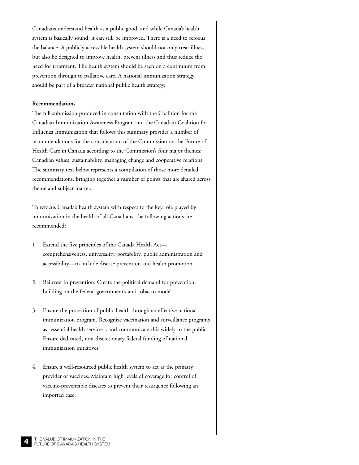Canadians understand health as a public good, and while Canada's health system is basically sound, it can still be improved. There is a need to refocus the balance. A publicly accessible health system should not only treat illness, but also be designed to improve health, prevent illness and thus reduce the need for treatment. The health system should be seen on a continuum from prevention through to palliative care. A national immunization strategy should be part of a broader national public health strategy.

#### **Recommendations**

The full submission produced in consultation with the Coalition for the Canadian Immunization Awareness Program and the Canadian Coalition for Influenza Immunization that follows this summary provides a number of recommendations for the consideration of the Commission on the Future of Health Care in Canada according to the Commission's four major themes: Canadian values, sustainability, managing change and cooperative relations. The summary text below represents a compilation of those more detailed recommendations, bringing together a number of points that are shared across theme and subject matter.

To refocus Canada's health system with respect to the key role played by immunization in the health of all Canadians, the following actions are recommended:

- 1. Extend the five principles of the Canada Health Act comprehensiveness, universality, portability, public administration and accessibility—to include disease prevention and health promotion.
- 2. Reinvest in prevention. Create the political demand for prevention, building on the federal government's anti-tobacco model.
- 3. Ensure the protection of public health through an effective national immunization program. Recognize vaccination and surveillance programs as "essential health services", and communicate this widely to the public. Ensure dedicated, non-discretionary federal funding of national immunization initiatives.
- 4. Ensure a well-resourced public health system to act as the primary provider of vaccines. Maintain high levels of coverage for control of vaccine-preventable diseases to prevent their resurgence following an imported case.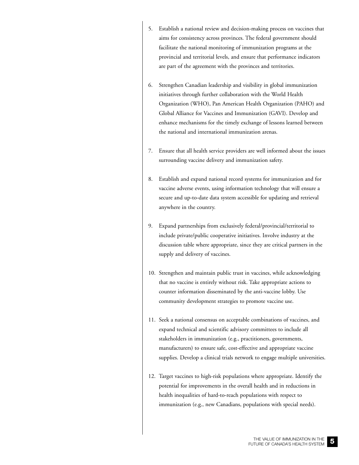- 5. Establish a national review and decision-making process on vaccines that aims for consistency across provinces. The federal government should facilitate the national monitoring of immunization programs at the provincial and territorial levels, and ensure that performance indicators are part of the agreement with the provinces and territories.
- 6. Strengthen Canadian leadership and visibility in global immunization initiatives through further collaboration with the World Health Organization (WHO), Pan American Health Organization (PAHO) and Global Alliance for Vaccines and Immunization (GAVI). Develop and enhance mechanisms for the timely exchange of lessons learned between the national and international immunization arenas.
- 7. Ensure that all health service providers are well informed about the issues surrounding vaccine delivery and immunization safety.
- 8. Establish and expand national record systems for immunization and for vaccine adverse events, using information technology that will ensure a secure and up-to-date data system accessible for updating and retrieval anywhere in the country.
- 9. Expand partnerships from exclusively federal/provincial/territorial to include private/public cooperative initiatives. Involve industry at the discussion table where appropriate, since they are critical partners in the supply and delivery of vaccines.
- 10. Strengthen and maintain public trust in vaccines, while acknowledging that no vaccine is entirely without risk. Take appropriate actions to counter information disseminated by the anti-vaccine lobby. Use community development strategies to promote vaccine use.
- 11. Seek a national consensus on acceptable combinations of vaccines, and expand technical and scientific advisory committees to include all stakeholders in immunization (e.g., practitioners, governments, manufacturers) to ensure safe, cost-effective and appropriate vaccine supplies. Develop a clinical trials network to engage multiple universities.
- 12. Target vaccines to high-risk populations where appropriate. Identify the potential for improvements in the overall health and in reductions in health inequalities of hard-to-reach populations with respect to immunization (e.g., new Canadians, populations with special needs).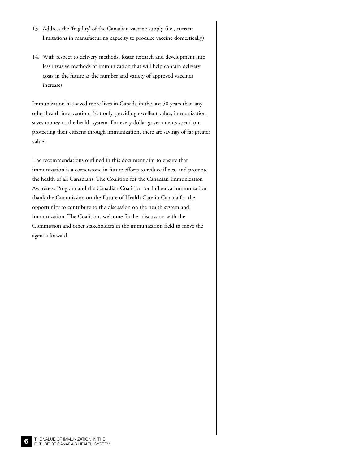- 13. Address the 'fragility' of the Canadian vaccine supply (i.e., current limitations in manufacturing capacity to produce vaccine domestically).
- 14. With respect to delivery methods, foster research and development into less invasive methods of immunization that will help contain delivery costs in the future as the number and variety of approved vaccines increases.

Immunization has saved more lives in Canada in the last 50 years than any other health intervention. Not only providing excellent value, immunization saves money to the health system. For every dollar governments spend on protecting their citizens through immunization, there are savings of far greater value.

The recommendations outlined in this document aim to ensure that immunization is a cornerstone in future efforts to reduce illness and promote the health of all Canadians. The Coalition for the Canadian Immunization Awareness Program and the Canadian Coalition for Influenza Immunization thank the Commission on the Future of Health Care in Canada for the opportunity to contribute to the discussion on the health system and immunization. The Coalitions welcome further discussion with the Commission and other stakeholders in the immunization field to move the agenda forward.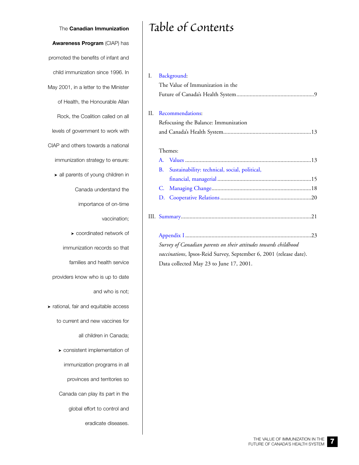The **Canadian Immunization Awareness Program** (CIAP) has promoted the benefits of infant and child immunization since 1996. In May 2001, in a letter to the Minister of Health, the Honourable Allan Rock, the Coalition called on all levels of government to work with CIAP and others towards a national immunization strategy to ensure: ➤ all parents of young children in Canada understand the importance of on-time vaccination; ➤ coordinated network of immunization records so that families and health service providers know who is up to date and who is not; ➤ rational, fair and equitable access to current and new vaccines for all children in Canada; ➤ consistent implementation of immunization programs in all provinces and territories so Canada can play its part in the global effort to control and

eradicate diseases.

# *Table of Contents*

| I. | Background:                          |                                                                 |  |  |  |  |
|----|--------------------------------------|-----------------------------------------------------------------|--|--|--|--|
|    | The Value of Immunization in the     |                                                                 |  |  |  |  |
|    |                                      |                                                                 |  |  |  |  |
|    |                                      |                                                                 |  |  |  |  |
| H. | Recommendations:                     |                                                                 |  |  |  |  |
|    | Refocusing the Balance: Immunization |                                                                 |  |  |  |  |
|    |                                      |                                                                 |  |  |  |  |
|    |                                      |                                                                 |  |  |  |  |
|    | Themes:                              |                                                                 |  |  |  |  |
|    |                                      |                                                                 |  |  |  |  |
|    | <b>B.</b>                            | Sustainability: technical, social, political,                   |  |  |  |  |
|    |                                      |                                                                 |  |  |  |  |
|    | C.                                   |                                                                 |  |  |  |  |
|    | D.                                   |                                                                 |  |  |  |  |
|    |                                      |                                                                 |  |  |  |  |
|    |                                      |                                                                 |  |  |  |  |
|    |                                      |                                                                 |  |  |  |  |
|    |                                      |                                                                 |  |  |  |  |
|    |                                      | Survey of Canadian parante on their attitudes towards childhood |  |  |  |  |

*Survey of Canadian parents on their attitudes towards childhood vaccinations*, Ipsos-Reid Survey, September 6, 2001 (release date). Data collected May 23 to June 17, 2001.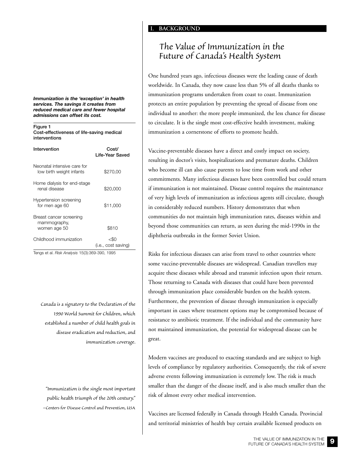## *The Value of Immunization in the Future of Canada's Health System*

One hundred years ago, infectious diseases were the leading cause of death worldwide. In Canada, they now cause less than 5% of all deaths thanks to immunization programs undertaken from coast to coast. Immunization protects an entire population by preventing the spread of disease from one individual to another: the more people immunized, the less chance for disease to circulate. It is the single most cost-effective health investment, making immunization a cornerstone of efforts to promote health.

Vaccine-preventable diseases have a direct and costly impact on society, resulting in doctor's visits, hospitalizations and premature deaths. Children who become ill can also cause parents to lose time from work and other commitments. Many infectious diseases have been controlled but could return if immunization is not maintained. Disease control requires the maintenance of very high levels of immunization as infectious agents still circulate, though in considerably reduced numbers. History demonstrates that when communities do not maintain high immunization rates, diseases within and beyond those communities can return, as seen during the mid-1990s in the diphtheria outbreaks in the former Soviet Union.

Risks for infectious diseases can arise from travel to other countries where some vaccine-preventable diseases are widespread. Canadian travellers may acquire these diseases while abroad and transmit infection upon their return. Those returning to Canada with diseases that could have been prevented through immunization place considerable burden on the health system. Furthermore, the prevention of disease through immunization is especially important in cases where treatment options may be compromised because of resistance to antibiotic treatment. If the individual and the community have not maintained immunization, the potential for widespread disease can be great.

Modern vaccines are produced to exacting standards and are subject to high levels of compliance by regulatory authorities. Consequently, the risk of severe adverse events following immunization is extremely low. The risk is much smaller than the danger of the disease itself, and is also much smaller than the risk of almost every other medical intervention.

Vaccines are licensed federally in Canada through Health Canada. Provincial and territorial ministries of health buy certain available licensed products on

<span id="page-8-0"></span>*Immunization is the 'exception' in health services. The savings it creates from reduced medical care and fewer hospital admissions can offset its cost.* 

**Figure 1 Cost-effectiveness of life-saving medical interventions**

| Intervention                                            | Cost/<br>Life-Year Saved    |  |  |  |
|---------------------------------------------------------|-----------------------------|--|--|--|
| Neonatal intensive care for<br>low birth weight infants | \$270,00                    |  |  |  |
| Home dialysis for end-stage<br>renal disease            | \$20,000                    |  |  |  |
| Hypertension screening<br>for men age 60                | \$11,000                    |  |  |  |
| Breast cancer screening<br>mammography,<br>women age 50 | \$810                       |  |  |  |
| Childhood immunization                                  | <\$∩<br>(i.e., cost saving) |  |  |  |

Tengs et al. *Risk Analysis* 15(3):369-390, 1995

*Canada is a signatory to the Declaration of the 1990 World Summit for Children, which established a number of child health goals in disease eradication and reduction, and immunization coverage.*

*"Immunization is the single most important public health triumph of the 20th century." –Centers for Disease Control and Prevention, USA*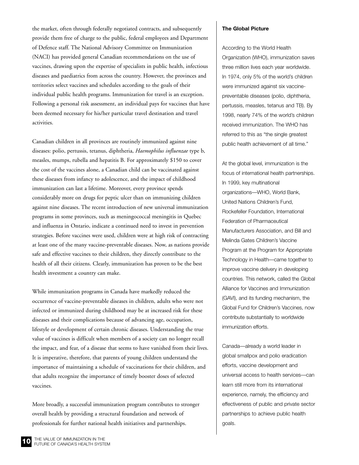the market, often through federally negotiated contracts, and subsequently provide them free of charge to the public, federal employees and Department of Defence staff. The National Advisory Committee on Immunization (NACI) has provided general Canadian recommendations on the use of vaccines, drawing upon the expertise of specialists in public health, infectious diseases and paediatrics from across the country. However, the provinces and territories select vaccines and schedules according to the goals of their individual public health programs. Immunization for travel is an exception. Following a personal risk assessment, an individual pays for vaccines that have been deemed necessary for his/her particular travel destination and travel activities.

Canadian children in all provinces are routinely immunized against nine diseases: polio, pertussis, tetanus, diphtheria, *Haemophilus influenzae* type b, measles, mumps, rubella and hepatitis B. For approximately \$150 to cover the cost of the vaccines alone, a Canadian child can be vaccinated against these diseases from infancy to adolescence, and the impact of childhood immunization can last a lifetime. Moreover, every province spends considerably more on drugs for peptic ulcer than on immunizing children against nine diseases. The recent introduction of new universal immunization programs in some provinces, such as meningococcal meningitis in Quebec and influenza in Ontario, indicate a continued need to invest in prevention strategies. Before vaccines were used, children were at high risk of contracting at least one of the many vaccine-preventable diseases. Now, as nations provide safe and effective vaccines to their children, they directly contribute to the health of all their citizens. Clearly, immunization has proven to be the best health investment a country can make.

While immunization programs in Canada have markedly reduced the occurrence of vaccine-preventable diseases in children, adults who were not infected or immunized during childhood may be at increased risk for these diseases and their complications because of advancing age, occupation, lifestyle or development of certain chronic diseases. Understanding the true value of vaccines is difficult when members of a society can no longer recall the impact, and fear, of a disease that seems to have vanished from their lives. It is imperative, therefore, that parents of young children understand the importance of maintaining a schedule of vaccinations for their children, and that adults recognize the importance of timely booster doses of selected vaccines.

More broadly, a successful immunization program contributes to stronger overall health by providing a structural foundation and network of professionals for further national health initiatives and partnerships.

#### **The Global Picture**

According to the World Health Organization (WHO), immunization saves three million lives each year worldwide. In 1974, only 5% of the world's children were immunized against six vaccinepreventable diseases (polio, diphtheria, pertussis, measles, tetanus and TB). By 1998, nearly 74% of the world's children received immunization. The WHO has referred to this as "the single greatest public health achievement of all time."

At the global level, immunization is the focus of international health partnerships. In 1999, key multinational organizations—WHO, World Bank, United Nations Children's Fund, Rockefeller Foundation, International Federation of Pharmaceutical Manufacturers Association, and Bill and Melinda Gates Children's Vaccine Program at the Program for Appropriate Technology in Health—came together to improve vaccine delivery in developing countries. This network, called the Global Alliance for Vaccines and Immunization (GAVI), and its funding mechanism, the Global Fund for Children's Vaccines, now contribute substantially to worldwide immunization efforts.

Canada—already a world leader in global smallpox and polio eradication efforts, vaccine development and universal access to health services—can learn still more from its international experience, namely, the efficiency and effectiveness of public and private sector partnerships to achieve public health goals.

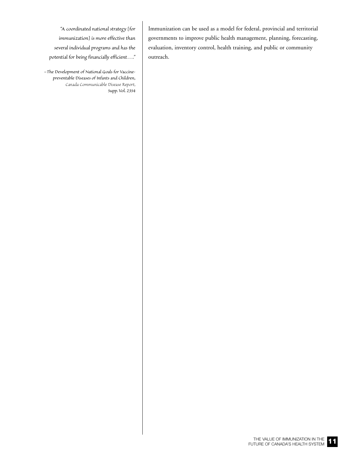- *"A coordinated national strategy [for*
- *immunization] is more effective than*
- *several individual programs and has the*
- *potential for being financially efficient…."*

*–The Development of National Goals for Vaccinepreventable Diseases of Infants and Children, Canada Communicable Disease Report, Supp. Vol. 23S4* 

Immunization can be used as a model for federal, provincial and territorial governments to improve public health management, planning, forecasting, evaluation, inventory control, health training, and public or community outreach.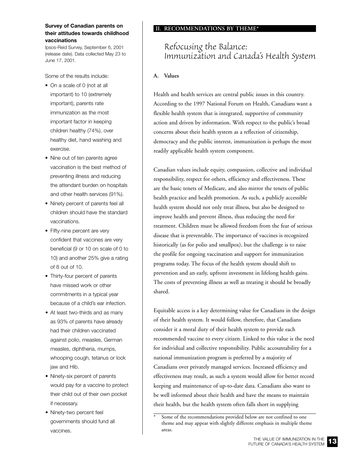#### <span id="page-12-0"></span>**Survey of Canadian parents on their attitudes towards childhood vaccinations**

Ipsos-Reid Survey, September 6, 2001 (release date). Data collected May 23 to June 17, 2001.

Some of the results include:

- On a scale of 0 (not at all important) to 10 (extremely important), parents rate immunization as the most important factor in keeping children healthy (74%), over healthy diet, hand washing and exercise.
- Nine out of ten parents agree vaccination is the best method of preventing illness and reducing the attendant burden on hospitals and other health services (91%).
- Ninety percent of parents feel all children should have the standard vaccinations.
- Fifty-nine percent are very confident that vaccines are very beneficial (9 or 10 on scale of 0 to 10) and another 25% give a rating of 8 out of 10.
- Thirty-four percent of parents have missed work or other commitments in a typical year because of a child's ear infection.
- At least two-thirds and as many as 93% of parents have already had their children vaccinated against polio, measles, German measles, diphtheria, mumps, whooping cough, tetanus or lock jaw and Hib.
- Ninety-six percent of parents would pay for a vaccine to protect their child out of their own pocket if necessary.
- Ninety-two percent feel governments should fund all vaccines.

#### **II. RECOMMENDATIONS BY THEME\***

## *Refocusing the Balance: Immunization and Canada's Health System*

#### **A. Values**

Health and health services are central public issues in this country. According to the 1997 National Forum on Health, Canadians want a flexible health system that is integrated, supportive of community action and driven by information. With respect to the public's broad concerns about their health system as a reflection of citizenship, democracy and the public interest, immunization is perhaps the most readily applicable health system component.

Canadian values include equity, compassion, collective and individual responsibility, respect for others, efficiency and effectiveness. These are the basic tenets of Medicare, and also mirror the tenets of public health practice and health promotion. As such, a publicly accessible health system should not only treat illness, but also be designed to improve health and prevent illness, thus reducing the need for treatment. Children must be allowed freedom from the fear of serious disease that is preventable. The importance of vaccines is recognized historically (as for polio and smallpox), but the challenge is to raise the profile for ongoing vaccination and support for immunization programs today. The focus of the health system should shift to prevention and an early, upfront investment in lifelong health gains. The costs of preventing illness as well as treating it should be broadly shared.

Equitable access is a key determining value for Canadians in the design of their health system. It would follow, therefore, that Canadians consider it a moral duty of their health system to provide each recommended vaccine to every citizen. Linked to this value is the need for individual and collective responsibility. Public accountability for a national immunization program is preferred by a majority of Canadians over privately managed services. Increased efficiency and effectiveness may result, as such a system would allow for better record keeping and maintenance of up-to-date data. Canadians also want to be well informed about their health and have the means to maintain their health, but the health system often falls short in supplying



Some of the recommendations provided below are not confined to one theme and may appear with slightly different emphasis in multiple theme areas.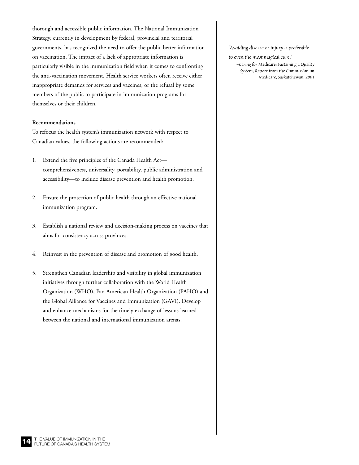thorough and accessible public information. The National Immunization Strategy, currently in development by federal, provincial and territorial governments, has recognized the need to offer the public better information on vaccination. The impact of a lack of appropriate information is particularly visible in the immunization field when it comes to confronting the anti-vaccination movement. Health service workers often receive either inappropriate demands for services and vaccines, or the refusal by some members of the public to participate in immunization programs for themselves or their children.

#### **Recommendations**

To refocus the health system's immunization network with respect to Canadian values, the following actions are recommended:

- 1. Extend the five principles of the Canada Health Act comprehensiveness, universality, portability, public administration and accessibility—to include disease prevention and health promotion.
- 2. Ensure the protection of public health through an effective national immunization program.
- 3. Establish a national review and decision-making process on vaccines that aims for consistency across provinces.
- 4. Reinvest in the prevention of disease and promotion of good health.
- 5. Strengthen Canadian leadership and visibility in global immunization initiatives through further collaboration with the World Health Organization (WHO), Pan American Health Organization (PAHO) and the Global Alliance for Vaccines and Immunization (GAVI). Develop and enhance mechanisms for the timely exchange of lessons learned between the national and international immunization arenas.

#### *"Avoiding disease or injury is preferable*

*to even the most magical cure."*

*–Caring for Medicare: Sustaining a Quality System, Report from the Commission on Medicare, Saskatchewan, 2001*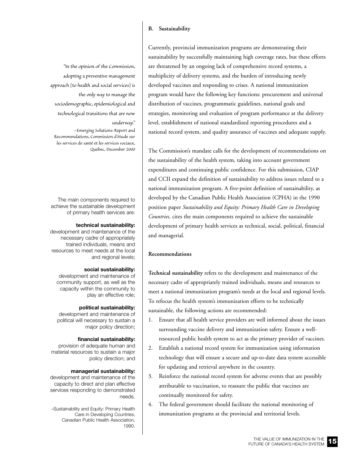#### **B. Sustainability**

<span id="page-14-0"></span>*"In the opinion of the Commission, adopting a preventive management approach [to health and social services] is the only way to manage the sociodemographic, epidemiological and technological transitions that are now*

#### *underway."*

*–Emerging Solutions: Report and Recommendations, Commission d'étude sur les services de santé et les services sociaux, Québec, December 2000*

The main components required to achieve the sustainable development of primary health services are:

#### **technical sustainability:**

development and maintenance of the necessary cadre of appropriately trained individuals, means and resources to meet needs at the local and regional levels;

#### **social sustainability:**

development and maintenance of community support, as well as the capacity within the community to play an effective role;

#### **political sustainability:**

development and maintenance of political will necessary to sustain a major policy direction;

#### **financial sustainability:**

provision of adequate human and material resources to sustain a major policy direction; and

#### **managerial sustainability:**

development and maintenance of the capacity to direct and plan effective services responding to demonstrated needs.

–Sustainability and Equity: Primary Health Care in Developing Countries, Canadian Public Health Association, 1990.

Currently, provincial immunization programs are demonstrating their sustainability by successfully maintaining high coverage rates, but these efforts are threatened by an ongoing lack of comprehensive record systems, a multiplicity of delivery systems, and the burden of introducing newly developed vaccines and responding to crises. A national immunization program would have the following key functions: procurement and universal distribution of vaccines, programmatic guidelines, national goals and strategies, monitoring and evaluation of program performance at the delivery level, establishment of national standardized reporting procedures and a national record system, and quality assurance of vaccines and adequate supply.

The Commission's mandate calls for the development of recommendations on the sustainability of the health system, taking into account government expenditures and continuing public confidence. For this submission, CIAP and CCII expand the definition of sustainability to address issues related to a national immunization program. A five-point definition of sustainability, as developed by the Canadian Public Health Association (CPHA) in the 1990 position paper *Sustainability and Equity: Primary Health Care in Developing Countries,* cites the main components required to achieve the sustainable development of primary health services as technical, social, political, financial and managerial.

#### **Recommendations**

**Technical sustainability** refers to the development and maintenance of the necessary cadre of appropriately trained individuals, means and resources to meet a national immunization program's needs at the local and regional levels. To refocus the health system's immunization efforts to be technically sustainable, the following actions are recommended:

- 1. Ensure that all health service providers are well informed about the issues surrounding vaccine delivery and immunization safety. Ensure a wellresourced public health system to act as the primary provider of vaccines.
- 2. Establish a national record system for immunization using information technology that will ensure a secure and up-to-date data system accessible for updating and retrieval anywhere in the country.
- 3. Reinforce the national record system for adverse events that are possibly attributable to vaccination, to reassure the public that vaccines are continually monitored for safety.
- The federal government should facilitate the national monitoring of immunization programs at the provincial and territorial levels.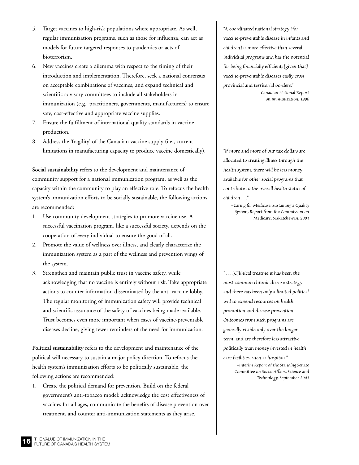- 5. Target vaccines to high-risk populations where appropriate. As well, regular immunization programs, such as those for influenza, can act as models for future targeted responses to pandemics or acts of bioterrorism.
- 6. New vaccines create a dilemma with respect to the timing of their introduction and implementation. Therefore, seek a national consensus on acceptable combinations of vaccines, and expand technical and scientific advisory committees to include all stakeholders in immunization (e.g., practitioners, governments, manufacturers) to ensure safe, cost-effective and appropriate vaccine supplies.
- 7. Ensure the fulfillment of international quality standards in vaccine production.
- 8. Address the 'fragility' of the Canadian vaccine supply (i.e., current limitations in manufacturing capacity to produce vaccine domestically).

**Social sustainability** refers to the development and maintenance of community support for a national immunization program, as well as the capacity within the community to play an effective role. To refocus the health system's immunization efforts to be socially sustainable, the following actions are recommended:

- 1. Use community development strategies to promote vaccine use. A successful vaccination program, like a successful society, depends on the cooperation of every individual to ensure the good of all.
- 2. Promote the value of wellness over illness, and clearly characterize the immunization system as a part of the wellness and prevention wings of the system.
- 3. Strengthen and maintain public trust in vaccine safety, while acknowledging that no vaccine is entirely without risk. Take appropriate actions to counter information disseminated by the anti-vaccine lobby. The regular monitoring of immunization safety will provide technical and scientific assurance of the safety of vaccines being made available. Trust becomes even more important when cases of vaccine-preventable diseases decline, giving fewer reminders of the need for immunization.

**Political sustainability** refers to the development and maintenance of the political will necessary to sustain a major policy direction. To refocus the health system's immunization efforts to be politically sustainable, the following actions are recommended:

1. Create the political demand for prevention. Build on the federal government's anti-tobacco model: acknowledge the cost effectiveness of vaccines for all ages, communicate the benefits of disease prevention over treatment, and counter anti-immunization statements as they arise.

*"A coordinated national strategy [for vaccine-preventable disease in infants and children] is more effective than several individual programs and has the potential for being financially efficient; [given that] vaccine-preventable diseases easily cross provincial and territorial borders."*

> *–Canadian National Report on Immunization, 1996*

*"If more and more of our tax dollars are allocated to treating illness through the health system, there will be less money available for other social programs that contribute to the overall health status of children…."*

*–Caring for Medicare: Sustaining a Quality System, Report from the Commission on Medicare, Saskatchewan, 2001*

*"… [C]linical treatment has been the most common chronic disease strategy and there has been only a limited political will to expend resources on health promotion and disease prevention. Outcomes from such programs are generally visible only over the longer term, and are therefore less attractive politically than money invested in health care facilities, such as hospitals."*

*–Interim Report of the Standing Senate Committee on Social Affairs, Science and Technology, September 2001*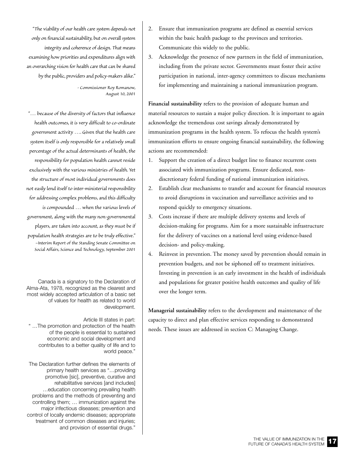*"The viability of our health care system depends not only on financial sustainability, but on overall system integrity and coherence of design. That means examining how priorities and expenditures align with an overarching vision for health care that can be shared by the public, providers and policy-makers alike."*

> *- Commissioner Roy Romanow, August 10, 2001*

*"… because of the diversity of factors that influence health outcomes, it is very difficult to co-ordinate government activity …. Given that the health care system itself is only responsible for a relatively small percentage of the actual determinants of health, the responsibility for population health cannot reside exclusively with the various ministries of health. Yet the structure of most individual governments does not easily lend itself to inter-ministerial responsibility for addressing complex problems, and this difficulty is compounded … when the various levels of government, along with the many non-governmental players, are taken into account, as they must be if population health strategies are to be truly effective." –Interim Report of the Standing Senate Committee on Social Affairs, Science and Technology, September 2001*

Canada is a signatory to the Declaration of Alma-Ata, 1978, recognized as the clearest and most widely accepted articulation of a basic set of values for health as related to world development.

Article III states in part: " …The promotion and protection of the health of the people is essential to sustained economic and social development and contributes to a better quality of life and to world peace."

The Declaration further defines the elements of primary health services as "…providing promotive [sic], preventive, curative and rehabilitative services [and includes] …education concerning prevailing health problems and the methods of preventing and controlling them; … immunization against the major infectious diseases; prevention and control of locally endemic diseases; appropriate treatment of common diseases and injuries; and provision of essential drugs."

- 2. Ensure that immunization programs are defined as essential services within the basic health package to the provinces and territories. Communicate this widely to the public.
- 3. Acknowledge the presence of new partners in the field of immunization, including from the private sector. Governments must foster their active participation in national, inter-agency committees to discuss mechanisms for implementing and maintaining a national immunization program.

**Financial sustainability** refers to the provision of adequate human and material resources to sustain a major policy direction. It is important to again acknowledge the tremendous cost savings already demonstrated by immunization programs in the health system. To refocus the health system's immunization efforts to ensure ongoing financial sustainability, the following actions are recommended:

- 1. Support the creation of a direct budget line to finance recurrent costs associated with immunization programs. Ensure dedicated, nondiscretionary federal funding of national immunization initiatives.
- 2. Establish clear mechanisms to transfer and account for financial resources to avoid disruptions in vaccination and surveillance activities and to respond quickly to emergency situations.
- 3. Costs increase if there are multiple delivery systems and levels of decision-making for programs. Aim for a more sustainable infrastructure for the delivery of vaccines on a national level using evidence-based decision- and policy-making.
- 4. Reinvest in prevention. The money saved by prevention should remain in prevention budgets, and not be siphoned off to treatment initiatives. Investing in prevention is an early investment in the health of individuals and populations for greater positive health outcomes and quality of life over the longer term.

**Managerial sustainability** refers to the development and maintenance of the capacity to direct and plan effective services responding to demonstrated needs. These issues are addressed in section C: Managing Change.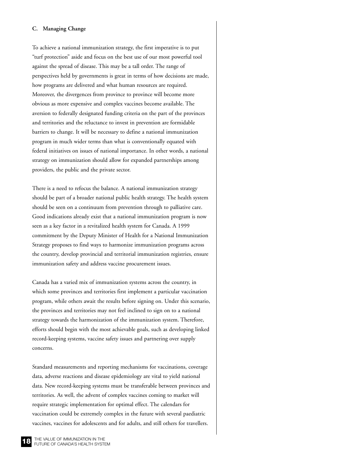#### <span id="page-17-0"></span>**C. Managing Change**

To achieve a national immunization strategy, the first imperative is to put "turf protection" aside and focus on the best use of our most powerful tool against the spread of disease. This may be a tall order. The range of perspectives held by governments is great in terms of how decisions are made, how programs are delivered and what human resources are required. Moreover, the divergences from province to province will become more obvious as more expensive and complex vaccines become available. The aversion to federally designated funding criteria on the part of the provinces and territories and the reluctance to invest in prevention are formidable barriers to change. It will be necessary to define a national immunization program in much wider terms than what is conventionally equated with federal initiatives on issues of national importance. In other words, a national strategy on immunization should allow for expanded partnerships among providers, the public and the private sector.

There is a need to refocus the balance. A national immunization strategy should be part of a broader national public health strategy. The health system should be seen on a continuum from prevention through to palliative care. Good indications already exist that a national immunization program is now seen as a key factor in a revitalized health system for Canada. A 1999 commitment by the Deputy Minister of Health for a National Immunization Strategy proposes to find ways to harmonize immunization programs across the country, develop provincial and territorial immunization registries, ensure immunization safety and address vaccine procurement issues.

Canada has a varied mix of immunization systems across the country, in which some provinces and territories first implement a particular vaccination program, while others await the results before signing on. Under this scenario, the provinces and territories may not feel inclined to sign on to a national strategy towards the harmonization of the immunization system. Therefore, efforts should begin with the most achievable goals, such as developing linked record-keeping systems, vaccine safety issues and partnering over supply concerns.

Standard measurements and reporting mechanisms for vaccinations, coverage data, adverse reactions and disease epidemiology are vital to yield national data. New record-keeping systems must be transferable between provinces and territories. As well, the advent of complex vaccines coming to market will require strategic implementation for optimal effect. The calendars for vaccination could be extremely complex in the future with several paediatric vaccines, vaccines for adolescents and for adults, and still others for travellers.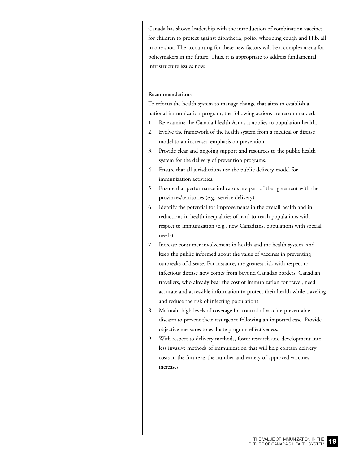Canada has shown leadership with the introduction of combination vaccines for children to protect against diphtheria, polio, whooping cough and Hib, all in one shot. The accounting for these new factors will be a complex arena for policymakers in the future. Thus, it is appropriate to address fundamental infrastructure issues now.

#### **Recommendations**

To refocus the health system to manage change that aims to establish a national immunization program, the following actions are recommended:

- 1. Re-examine the Canada Health Act as it applies to population health.
- 2. Evolve the framework of the health system from a medical or disease model to an increased emphasis on prevention.
- 3. Provide clear and ongoing support and resources to the public health system for the delivery of prevention programs.
- 4. Ensure that all jurisdictions use the public delivery model for immunization activities.
- 5. Ensure that performance indicators are part of the agreement with the provinces/territories (e.g., service delivery).
- 6. Identify the potential for improvements in the overall health and in reductions in health inequalities of hard-to-reach populations with respect to immunization (e.g., new Canadians, populations with special needs).
- 7. Increase consumer involvement in health and the health system, and keep the public informed about the value of vaccines in preventing outbreaks of disease. For instance, the greatest risk with respect to infectious disease now comes from beyond Canada's borders. Canadian travellers, who already bear the cost of immunization for travel, need accurate and accessible information to protect their health while traveling and reduce the risk of infecting populations.
- 8. Maintain high levels of coverage for control of vaccine-preventable diseases to prevent their resurgence following an imported case. Provide objective measures to evaluate program effectiveness.
- 9. With respect to delivery methods, foster research and development into less invasive methods of immunization that will help contain delivery costs in the future as the number and variety of approved vaccines increases.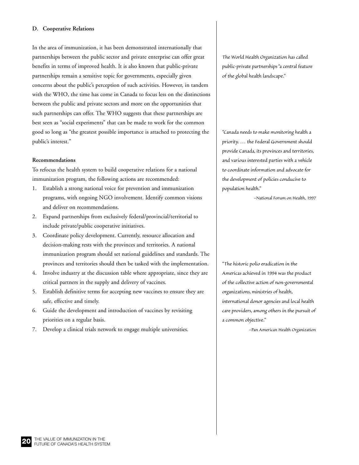#### <span id="page-19-0"></span>**D. Cooperative Relations**

In the area of immunization, it has been demonstrated internationally that partnerships between the public sector and private enterprise can offer great benefits in terms of improved health. It is also known that public-private partnerships remain a sensitive topic for governments, especially given concerns about the public's perception of such activities. However, in tandem with the WHO, the time has come in Canada to focus less on the distinctions between the public and private sectors and more on the opportunities that such partnerships can offer. The WHO suggests that these partnerships are best seen as "social experiments" that can be made to work for the common good so long as "the greatest possible importance is attached to protecting the public's interest."

#### **Recommendations**

To refocus the health system to build cooperative relations for a national immunization program, the following actions are recommended:

- 1. Establish a strong national voice for prevention and immunization programs, with ongoing NGO involvement. Identify common visions and deliver on recommendations.
- 2. Expand partnerships from exclusively federal/provincial/territorial to include private/public cooperative initiatives.
- 3. Coordinate policy development. Currently, resource allocation and decision-making rests with the provinces and territories. A national immunization program should set national guidelines and standards. The provinces and territories should then be tasked with the implementation.
- 4. Involve industry at the discussion table where appropriate, since they are critical partners in the supply and delivery of vaccines.
- 5. Establish definitive terms for accepting new vaccines to ensure they are safe, effective and timely.
- 6. Guide the development and introduction of vaccines by revisiting priorities on a regular basis.
- 7. Develop a clinical trials network to engage multiple universities.

*The World Health Organization has called public-private partnerships "a central feature of the global health landscape."*

*"Canada needs to make monitoring health a priority. … the Federal Government should provide Canada, its provinces and territories, and various interested parties with a vehicle to coordinate information and advocate for the development of policies conducive to population health."*

*–National Forum on Health, 1997*

*"The historic polio eradication in the Americas achieved in 1994 was the product of the collective action of non-governmental organizations, ministries of health, international donor agencies and local health care providers, among others in the pursuit of a common objective."*

*–Pan American Health Organization*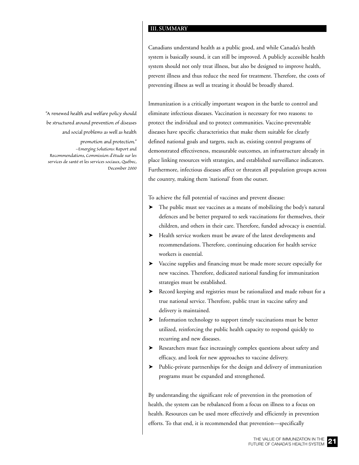#### **III.SUMMARY**

Canadians understand health as a public good, and while Canada's health system is basically sound, it can still be improved. A publicly accessible health system should not only treat illness, but also be designed to improve health, prevent illness and thus reduce the need for treatment. Therefore, the costs of preventing illness as well as treating it should be broadly shared.

Immunization is a critically important weapon in the battle to control and eliminate infectious diseases. Vaccination is necessary for two reasons: to protect the individual and to protect communities. Vaccine-preventable diseases have specific characteristics that make them suitable for clearly defined national goals and targets, such as, existing control programs of demonstrated effectiveness, measurable outcomes, an infrastructure already in place linking resources with strategies, and established surveillance indicators. Furthermore, infectious diseases affect or threaten all population groups across the country, making them 'national' from the outset.

To achieve the full potential of vaccines and prevent disease:

- ➤ The public must see vaccines as a means of mobilizing the body's natural defences and be better prepared to seek vaccinations for themselves, their children, and others in their care. Therefore, funded advocacy is essential.
- ➤ Health service workers must be aware of the latest developments and recommendations. Therefore, continuing education for health service workers is essential.
- ➤ Vaccine supplies and financing must be made more secure especially for new vaccines. Therefore, dedicated national funding for immunization strategies must be established.
- ➤ Record keeping and registries must be rationalized and made robust for a true national service. Therefore, public trust in vaccine safety and delivery is maintained.
- ➤ Information technology to support timely vaccinations must be better utilized, reinforcing the public health capacity to respond quickly to recurring and new diseases.
- ➤ Researchers must face increasingly complex questions about safety and efficacy, and look for new approaches to vaccine delivery.
- ➤ Public-private partnerships for the design and delivery of immunization programs must be expanded and strengthened.

By understanding the significant role of prevention in the promotion of health, the system can be rebalanced from a focus on illness to a focus on health. Resources can be used more effectively and efficiently in prevention efforts. To that end, it is recommended that prevention—specifically

<span id="page-20-0"></span>*"A renewed health and welfare policy should be structured around prevention of diseases and social problems as well as health*

*promotion and protection." –Emerging Solutions: Report and Recommendations, Commission d'étude sur les services de santé et les services sociaux, Québec, December 2000*

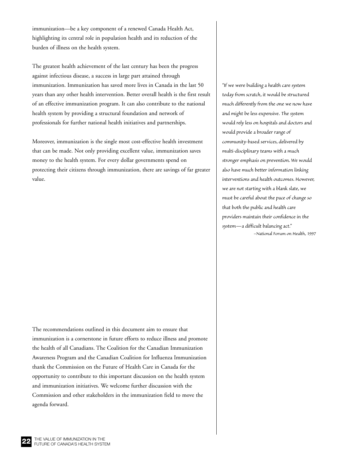immunization—be a key component of a renewed Canada Health Act, highlighting its central role in population health and its reduction of the burden of illness on the health system.

The greatest health achievement of the last century has been the progress against infectious disease, a success in large part attained through immunization. Immunization has saved more lives in Canada in the last 50 years than any other health intervention. Better overall health is the first result of an effective immunization program. It can also contribute to the national health system by providing a structural foundation and network of professionals for further national health initiatives and partnerships.

Moreover, immunization is the single most cost-effective health investment that can be made. Not only providing excellent value, immunization saves money to the health system. For every dollar governments spend on protecting their citizens through immunization, there are savings of far greater value.

The recommendations outlined in this document aim to ensure that immunization is a cornerstone in future efforts to reduce illness and promote the health of all Canadians. The Coalition for the Canadian Immunization Awareness Program and the Canadian Coalition for Influenza Immunization thank the Commission on the Future of Health Care in Canada for the opportunity to contribute to this important discussion on the health system and immunization initiatives. We welcome further discussion with the Commission and other stakeholders in the immunization field to move the agenda forward.

*"If we were building a health care system today from scratch, it would be structured much differently from the one we now have and might be less expensive. The system would rely less on hospitals and doctors and would provide a broader range of community-based services, delivered by multi-disciplinary teams with a much stronger emphasis on prevention. We would also have much better information linking interventions and health outcomes. However, we are not starting with a blank slate, we must be careful about the pace of change so that both the public and health care providers maintain their confidence in the system—a difficult balancing act." –National Forum on Health, 1997*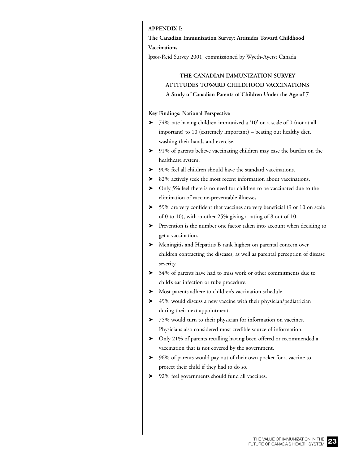#### <span id="page-22-0"></span>**APPENDIX I:**

**The Canadian Immunization Survey: Attitudes Toward Childhood Vaccinations**

Ipsos-Reid Survey 2001, commissioned by Wyeth-Ayerst Canada

## **THE CANADIAN IMMUNIZATION SURVEY ATTITUDES TOWARD CHILDHOOD VACCINATIONS A Study of Canadian Parents of Children Under the Age of 7**

#### **Key Findings: National Perspective**

- ➤ 74% rate having children immunized a '10' on a scale of 0 (not at all important) to 10 (extremely important) – beating out healthy diet, washing their hands and exercise.
- ➤ 91% of parents believe vaccinating children may ease the burden on the healthcare system.
- ➤ 90% feel all children should have the standard vaccinations.
- ➤ 82% actively seek the most recent information about vaccinations.
- ➤ Only 5% feel there is no need for children to be vaccinated due to the elimination of vaccine-preventable illnesses.
- ➤ 59% are very confident that vaccines are very beneficial (9 or 10 on scale of 0 to 10), with another 25% giving a rating of 8 out of 10.
- ➤ Prevention is the number one factor taken into account when deciding to get a vaccination.
- ➤ Meningitis and Hepatitis B rank highest on parental concern over children contracting the diseases, as well as parental perception of disease severity.
- ➤ 34% of parents have had to miss work or other commitments due to child's ear infection or tube procedure.
- ➤ Most parents adhere to children's vaccination schedule.
- ➤ 49% would discuss a new vaccine with their physician/pediatrician during their next appointment.
- ➤ 75% would turn to their physician for information on vaccines. Physicians also considered most credible source of information.
- ➤ Only 21% of parents recalling having been offered or recommended a vaccination that is not covered by the government.
- ➤ 96% of parents would pay out of their own pocket for a vaccine to protect their child if they had to do so.
- ➤ 92% feel governments should fund all vaccines.

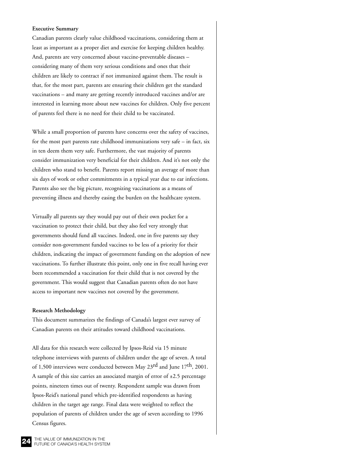#### **Executive Summary**

Canadian parents clearly value childhood vaccinations, considering them at least as important as a proper diet and exercise for keeping children healthy. And, parents are very concerned about vaccine-preventable diseases – considering many of them very serious conditions and ones that their children are likely to contract if not immunized against them. The result is that, for the most part, parents are ensuring their children get the standard vaccinations – and many are getting recently introduced vaccines and/or are interested in learning more about new vaccines for children. Only five percent of parents feel there is no need for their child to be vaccinated.

While a small proportion of parents have concerns over the safety of vaccines, for the most part parents rate childhood immunizations very safe – in fact, six in ten deem them very safe. Furthermore, the vast majority of parents consider immunization very beneficial for their children. And it's not only the children who stand to benefit. Parents report missing an average of more than six days of work or other commitments in a typical year due to ear infections. Parents also see the big picture, recognizing vaccinations as a means of preventing illness and thereby easing the burden on the healthcare system.

Virtually all parents say they would pay out of their own pocket for a vaccination to protect their child, but they also feel very strongly that governments should fund all vaccines. Indeed, one in five parents say they consider non-government funded vaccines to be less of a priority for their children, indicating the impact of government funding on the adoption of new vaccinations. To further illustrate this point, only one in five recall having ever been recommended a vaccination for their child that is not covered by the government. This would suggest that Canadian parents often do not have access to important new vaccines not covered by the government.

#### **Research Methodology**

This document summarizes the findings of Canada's largest ever survey of Canadian parents on their attitudes toward childhood vaccinations.

All data for this research were collected by Ipsos-Reid via 15 minute telephone interviews with parents of children under the age of seven. A total of 1,500 interviews were conducted between May 23<sup>rd</sup> and June 17<sup>th</sup>, 2001. A sample of this size carries an associated margin of error of  $\pm 2.5$  percentage points, nineteen times out of twenty. Respondent sample was drawn from Ipsos-Reid's national panel which pre-identified respondents as having children in the target age range. Final data were weighted to reflect the population of parents of children under the age of seven according to 1996 Census figures.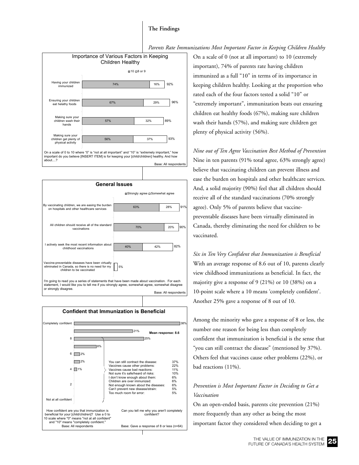#### **The Findings**





important do you believe [INSERT ITEM] is for keeping your [child/children] healthy. And how about....? Base: All respondent



**Confident that Immunization is Beneficial**  $\blacksquare$ 1%  $\blacksquare$  $\overline{2\%}$ 8% 25%  $721%$  $\mathbb{R}^3$ Not at all confident 2 4 6 8 Completely confident How confident are you that immunization is beneficial for your [child/chidren]? Use a 0 to 10 scale where "0" means "not at all confident" and "10" means "completely confident. Base: All respondents Can you tell me why you aren't completely confident? Base: Gave a response of 8 or less (n=64) **Mean response: 8.6** You can still contract the disease: 37%<br>Vaccines cause other problems: 22% Vaccines cause other problems: 22%<br>Vaccines cause bad reactions: 21% Vaccines cause bad reactions: 11%<br>Not sure it's safe/heard of risks: 10% Not sure it's safe/heard of risks: 10%<br>
I don't know enough about them: 6% I don't know enough about them: 6%<br>Children are over immunized: 6% Children are over immunized: 6%<br>Not enough known about the diseases: 6% Not enough known about the diseases: 6%<br>Can't prevent new disease/strain: 5% Can't prevent new disease/strain: 5%<br>Too much room for error: 5% Too much room for error:

On a scale of 0 (not at all important) to 10 (extremely important), 74% of parents rate having children immunized as a full "10" in terms of its importance in keeping children healthy. Looking at the proportion who rated each of the four factors tested a solid "10" or "extremely important", immunization beats out ensuring children eat healthy foods (67%), making sure children wash their hands (57%), and making sure children get plenty of physical activity (56%).

*Nine out of Ten Agree Vaccination Best Method of Prevention* Nine in ten parents (91% total agree, 63% strongly agree) believe that vaccinating children can prevent illness and ease the burden on hospitals and other healthcare services. And, a solid majority (90%) feel that all children should receive all of the standard vaccinations (70% strongly agree). Only 5% of parents believe that vaccinepreventable diseases have been virtually eliminated in Canada, thereby eliminating the need for children to be vaccinated.

*Six in Ten Very Confident that Immunization is Beneficial* With an average response of 8.6 out of 10, parents clearly view childhood immunizations as beneficial. In fact, the majority give a response of 9 (21%) or 10 (38%) on a 10-point scale where a 10 means 'completely confident'. Another 25% gave a response of 8 out of 10.

Among the minority who gave a response of 8 or less, the number one reason for being less than completely confident that immunization is beneficial is the sense that "you can still contract the disease" (mentioned by 37%). Others feel that vaccines cause other problems (22%), or bad reactions (11%).

### *Prevention is Most Important Factor in Deciding to Get a Vaccination*

On an open-ended basis, parents cite prevention (21%) more frequently than any other as being the most important factor they considered when deciding to get a

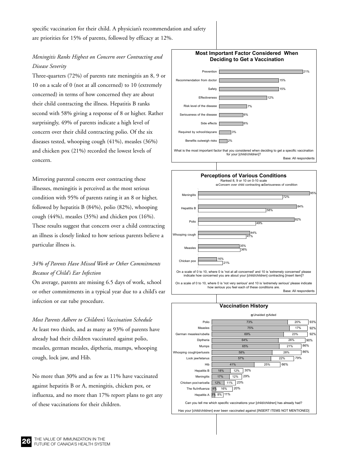specific vaccination for their child. A physician's recommendation and safety are priorities for 15% of parents, followed by efficacy at 12%.

## *Meningitis Ranks Highest on Concern over Contracting and Disease Severity*

Three-quarters (72%) of parents rate meningitis an 8, 9 or 10 on a scale of 0 (not at all concerned) to 10 (extremely concerned) in terms of how concerned they are about their child contracting the illness. Hepatitis B ranks second with 58% giving a response of 8 or higher. Rather surprisingly, 49% of parents indicate a high level of concern over their child contracting polio. Of the six diseases tested, whooping cough (41%), measles (36%) and chicken pox (21%) recorded the lowest levels of concern.

Mirroring parental concern over contracting these illnesses, meningitis is perceived as the most serious condition with 95% of parents rating it an 8 or higher, followed by hepatitis B (84%), polio (82%), whooping cough (44%), measles (35%) and chicken pox (16%). These results suggest that concern over a child contracting an illness is closely linked to how serious parents believe a particular illness is.

## *34% of Parents Have Missed Work or Other Commitments Because of Child's Ear Infection*

On average, parents are missing 6.5 days of work, school or other commitments in a typical year due to a child's ear infection or ear tube procedure.

*Most Parents Adhere to Children's Vaccination Schedule* At least two thirds, and as many as 93% of parents have already had their children vaccinated against polio, measles, german measles, diptheria, mumps, whooping cough, lock jaw, and Hib.

No more than 30% and as few as 11% have vaccinated against hepatitis B or A, meningitis, chicken pox, or influenza, and no more than 17% report plans to get any of these vaccinations for their children.



4% 12% 17%

Hepatitis A 3% 8% 11%

The flu/influenza Chicken pox/varicella Meningiti

16%

11% 23% 12% 29%

20%

Can you tell me which specific vaccinations your [child/children] has already had? Has your [child/children] ever been vaccinated against [INSERT ITEMS NOT MENTIONED]

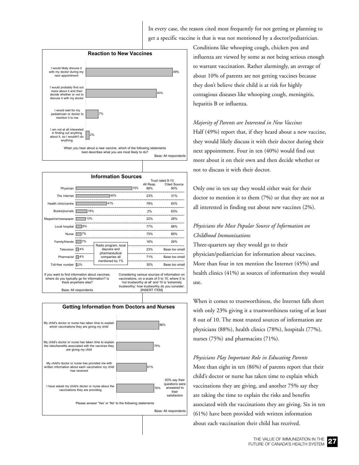In every case, the reason cited most frequently for not getting or planning to get a specific vaccine is that is was not mentioned by a doctor/pediatrician.



|                                                                                                                                                   | <b>Information Sources</b>          |                                                                                                                                                                                                                             |                  |     |           |                     |
|---------------------------------------------------------------------------------------------------------------------------------------------------|-------------------------------------|-----------------------------------------------------------------------------------------------------------------------------------------------------------------------------------------------------------------------------|------------------|-----|-----------|---------------------|
|                                                                                                                                                   |                                     |                                                                                                                                                                                                                             | Trust rated 8-10 |     |           |                     |
|                                                                                                                                                   |                                     |                                                                                                                                                                                                                             |                  |     | All Resp. | <b>Cited Source</b> |
| Physician                                                                                                                                         |                                     |                                                                                                                                                                                                                             |                  | 75% | 88%       | 90%                 |
| The Internet                                                                                                                                      |                                     | 45%                                                                                                                                                                                                                         |                  |     | 23%       | 31%                 |
| Health clinic/centre                                                                                                                              | 41%                                 |                                                                                                                                                                                                                             |                  |     | 78%       | 83%                 |
| Books/journals                                                                                                                                    | 15%<br>13%                          |                                                                                                                                                                                                                             |                  |     | 2%        | 63%                 |
| Magazine/newspaper                                                                                                                                |                                     |                                                                                                                                                                                                                             |                  |     | 22%       | 28%                 |
| Local hospital                                                                                                                                    |                                     |                                                                                                                                                                                                                             |                  | 77% | 88%       |                     |
| <b>Nurse</b>                                                                                                                                      | 7%                                  |                                                                                                                                                                                                                             |                  |     | 75%       | 89%                 |
| Family/friends                                                                                                                                    | 7%                                  | Radio program, local                                                                                                                                                                                                        |                  |     | 16%       | 26%                 |
| Television                                                                                                                                        | 4%<br>daycare and<br>pharmaceutical |                                                                                                                                                                                                                             |                  |     | 23%       | Base too small      |
| Pharmacist                                                                                                                                        | 4%                                  | companies all<br>mentioned by 1%                                                                                                                                                                                            |                  |     | 71%       | Base too small      |
| Toll-free number                                                                                                                                  | 2%                                  |                                                                                                                                                                                                                             |                  |     | 30%       | Base too small      |
| If you want to find information about vaccines,<br>where do you typically go for information? Is<br>there anywhere else?<br>Base: All respondents |                                     | Considering various sources of information on<br>vaccinations, on a scale of 0 to 10, where 0 is<br>'not trustworthy at all' and 10 is 'extremely<br>trustworthy,' how trustworthy do you consider:<br><b>IINSERT ITEMI</b> |                  |     |           |                     |



Conditions like whooping cough, chicken pox and influenza are viewed by some as not being serious enough to warrant vaccination. Rather alarmingly, an average of about 10% of parents are not getting vaccines because they don't believe their child is at risk for highly contagious diseases like whooping cough, meningitis, hepatitis B or influenza.

#### *Majority of Parents are Interested in New Vaccines*

Half (49%) report that, if they heard about a new vaccine, they would likely discuss it with their doctor during their next appointment. Four in ten (40%) would find out more about it on their own and then decide whether or not to discuss it with their doctor.

Only one in ten say they would either wait for their doctor to mention it to them (7%) or that they are not at all interested in finding out about new vaccines (2%).

## *Physicians the Most Popular Source of Information on Childhood Immunizations*

Three-quarters say they would go to their physician/pediatrician for information about vaccines. More than four in ten mention the Internet (45%) and health clinics (41%) as sources of information they would use.

When it comes to trustworthiness, the Internet falls short with only 23% giving it a trustworthiness rating of at least 8 out of 10. The most trusted sources of information are physicians (88%), health clinics (78%), hospitals (77%), nurses (75%) and pharmacists (71%).

*Physicians Play Important Role in Educating Parents* More than eight in ten (86%) of parents report that their child's doctor or nurse has taken time to explain which vaccinations they are giving, and another 75% say they are taking the time to explain the risks and benefits associated with the vaccinations they are giving. Six in ten (61%) have been provided with written information about each vaccination their child has received.